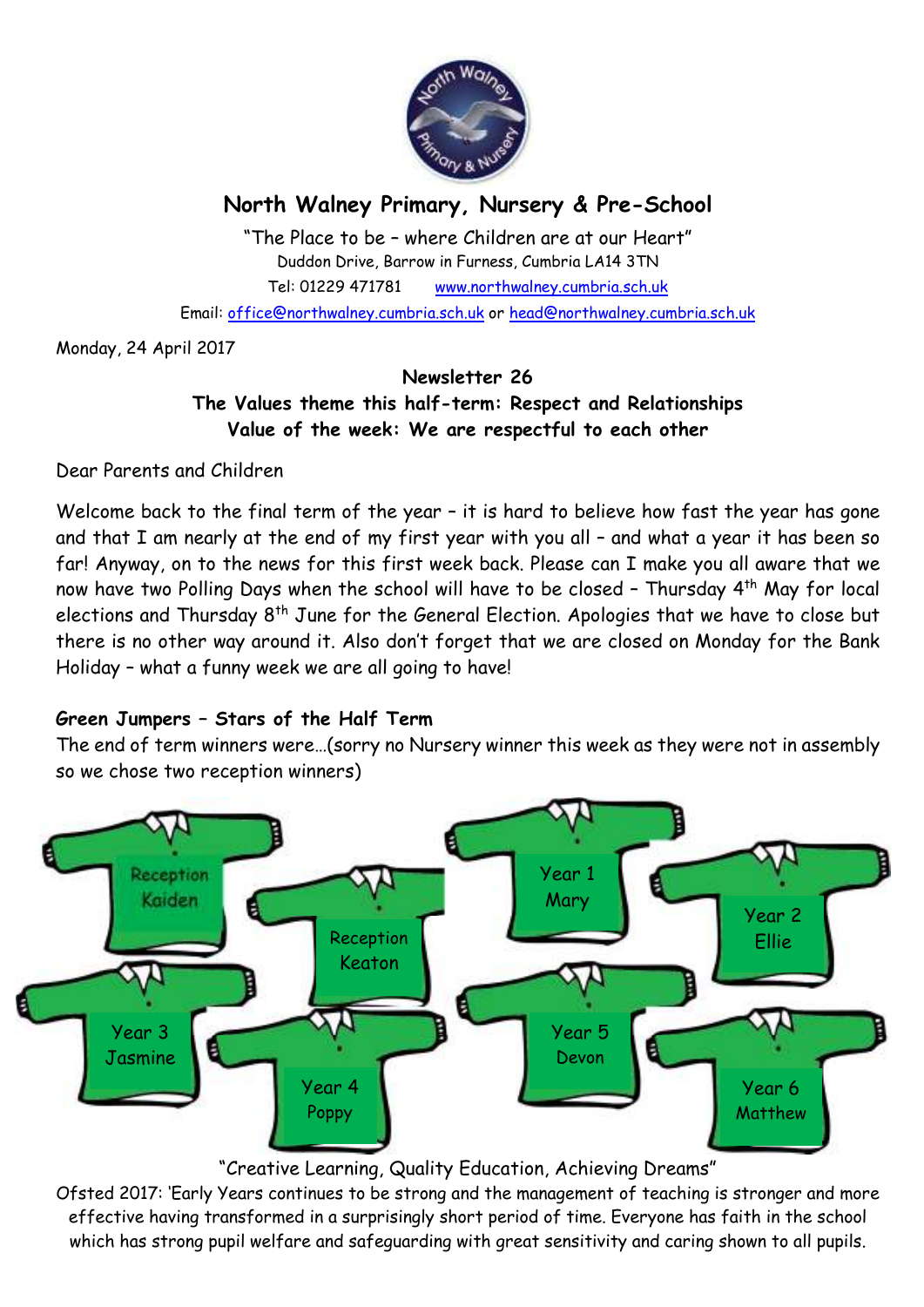

# **North Walney Primary, Nursery & Pre-School**

"The Place to be – where Children are at our Heart" Duddon Drive, Barrow in Furness, Cumbria LA14 3TN Tel: 01229 471781 www.northwalney.cumbria.sch.uk Email: office@northwalney.cumbria.sch.uk or head@northwalney.cumbria.sch.uk

Monday, 24 April 2017

### **Newsletter 26 The Values theme this half-term: Respect and Relationships Value of the week: We are respectful to each other**

Dear Parents and Children

Welcome back to the final term of the year - it is hard to believe how fast the year has gone and that I am nearly at the end of my first year with you all – and what a year it has been so far! Anyway, on to the news for this first week back. Please can I make you all aware that we now have two Polling Days when the school will have to be closed - Thursday 4<sup>th</sup> May for local elections and Thursday 8th June for the General Election. Apologies that we have to close but there is no other way around it. Also don't forget that we are closed on Monday for the Bank Holiday – what a funny week we are all going to have!

# **Green Jumpers – Stars of the Half Term**

The end of term winners were…(sorry no Nursery winner this week as they were not in assembly so we chose two reception winners)



# "Creative Learning, Quality Education, Achieving Dreams"

Ofsted 2017: 'Early Years continues to be strong and the management of teaching is stronger and more effective having transformed in a surprisingly short period of time. Everyone has faith in the school which has strong pupil welfare and safeguarding with great sensitivity and caring shown to all pupils.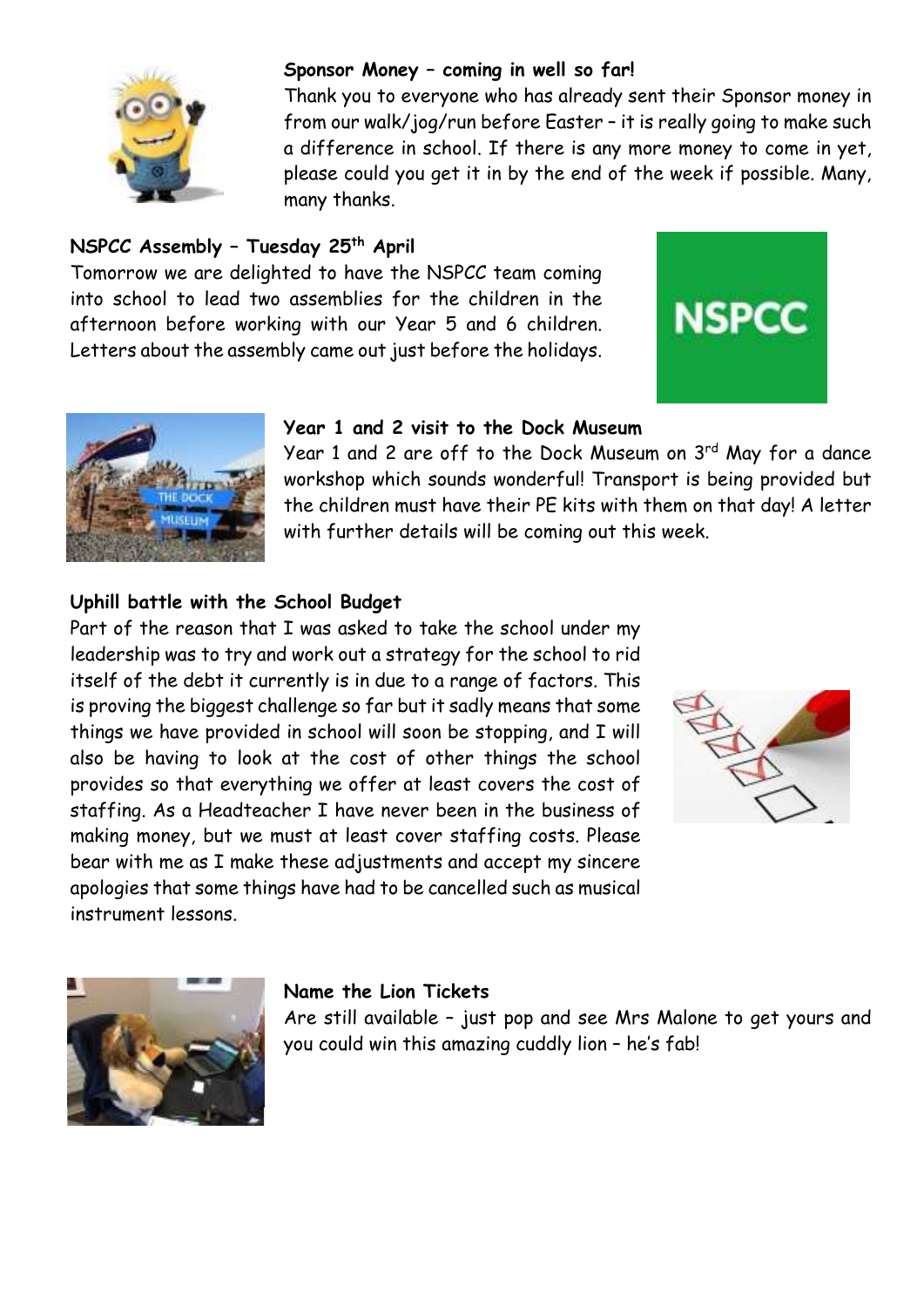

#### **Sponsor Money – coming in well so far!**

Thank you to everyone who has already sent their Sponsor money in from our walk/jog/run before Easter – it is really going to make such a difference in school. If there is any more money to come in yet, please could you get it in by the end of the week if possible. Many, many thanks.

#### **NSPCC Assembly – Tuesday 25th April**

Tomorrow we are delighted to have the NSPCC team coming into school to lead two assemblies for the children in the afternoon before working with our Year 5 and 6 children. Letters about the assembly came out just before the holidays.





# **Year 1 and 2 visit to the Dock Museum**

Year 1 and 2 are off to the Dock Museum on 3rd May for a dance workshop which sounds wonderful! Transport is being provided but the children must have their PE kits with them on that day! A letter with further details will be coming out this week.

### **Uphill battle with the School Budget**

Part of the reason that I was asked to take the school under my leadership was to try and work out a strategy for the school to rid itself of the debt it currently is in due to a range of factors. This is proving the biggest challenge so far but it sadly means that some things we have provided in school will soon be stopping, and I will also be having to look at the cost of other things the school provides so that everything we offer at least covers the cost of staffing. As a Headteacher I have never been in the business of making money, but we must at least cover staffing costs. Please bear with me as I make these adjustments and accept my sincere apologies that some things have had to be cancelled such as musical instrument lessons.





#### **Name the Lion Tickets**

Are still available – just pop and see Mrs Malone to get yours and you could win this amazing cuddly lion – he's fab!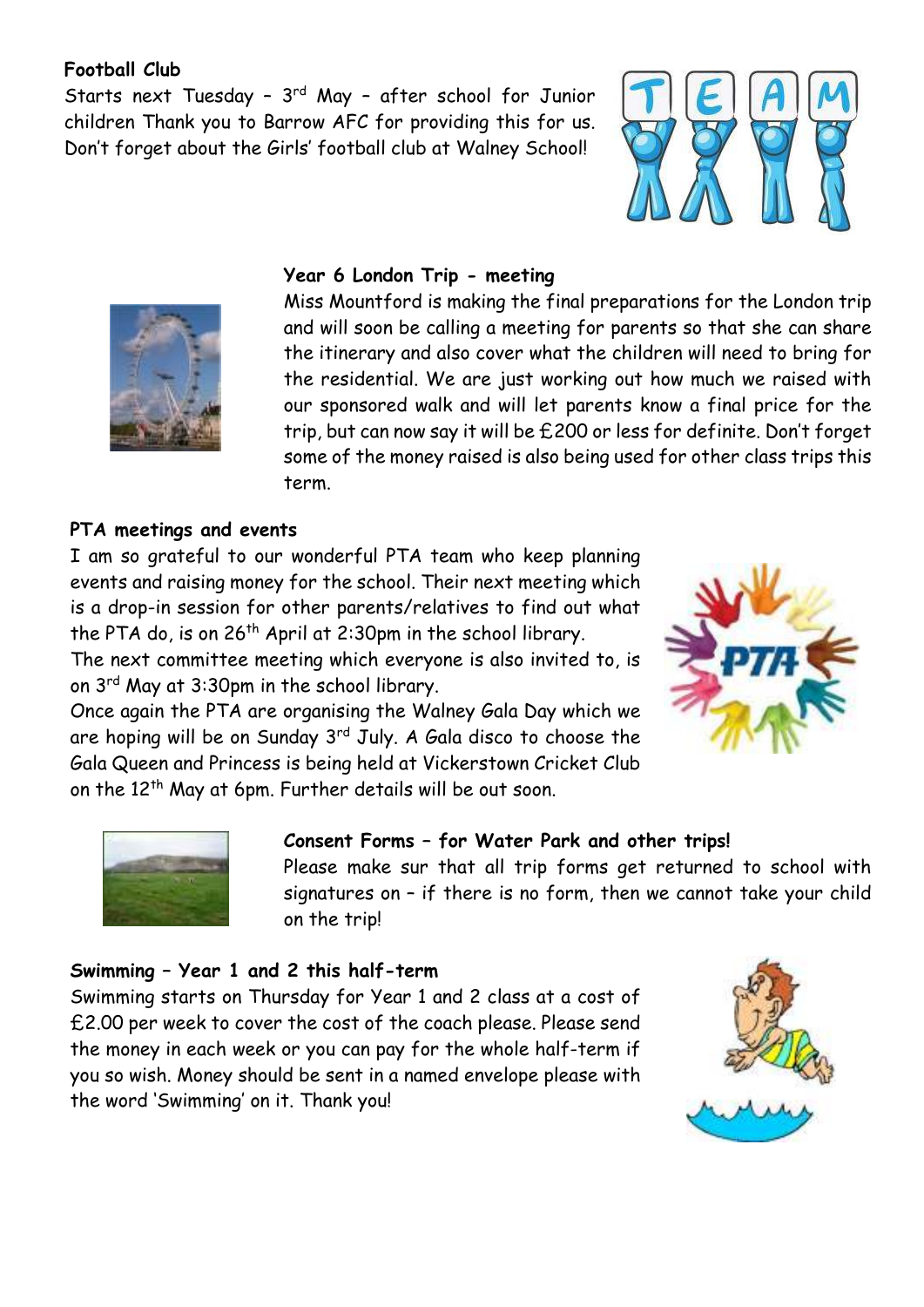#### **Football Club**

Starts next Tuesday – 3rd May – after school for Junior children Thank you to Barrow AFC for providing this for us. Don't forget about the Girls' football club at Walney School!





### **Year 6 London Trip - meeting**

Miss Mountford is making the final preparations for the London trip and will soon be calling a meeting for parents so that she can share the itinerary and also cover what the children will need to bring for the residential. We are just working out how much we raised with our sponsored walk and will let parents know a final price for the trip, but can now say it will be £200 or less for definite. Don't forget some of the money raised is also being used for other class trips this term.

### **PTA meetings and events**

I am so grateful to our wonderful PTA team who keep planning events and raising money for the school. Their next meeting which is a drop-in session for other parents/relatives to find out what the PTA do, is on 26<sup>th</sup> April at 2:30pm in the school library.

The next committee meeting which everyone is also invited to, is on 3rd May at 3:30pm in the school library.

Once again the PTA are organising the Walney Gala Day which we are hoping will be on Sunday 3<sup>rd</sup> July. A Gala disco to choose the Gala Queen and Princess is being held at Vickerstown Cricket Club on the 12<sup>th</sup> May at 6pm. Further details will be out soon.





### **Consent Forms – for Water Park and other trips!**

Please make sur that all trip forms get returned to school with signatures on – if there is no form, then we cannot take your child on the trip!

# **Swimming – Year 1 and 2 this half-term**

Swimming starts on Thursday for Year 1 and 2 class at a cost of £2.00 per week to cover the cost of the coach please. Please send the money in each week or you can pay for the whole half-term if you so wish. Money should be sent in a named envelope please with the word 'Swimming' on it. Thank you!